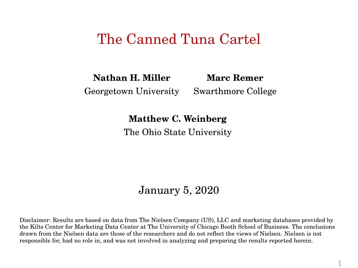#### The Canned Tuna Cartel

**Nathan H. Miller Marc Remer**

Georgetown University Swarthmore College

**Matthew C. Weinberg**

The Ohio State University

#### January 5, 2020

Disclaimer: Results are based on data from The Nielsen Company (US), LLC and marketing databases provided by the Kilts Center for Marketing Data Center at The University of Chicago Booth School of Business. The conclusions drawn from the Nielsen data are those of the researchers and do not reflect the views of Nielsen. Nielsen is not responsible for, had no role in, and was not involved in analyzing and preparing the results reported herein.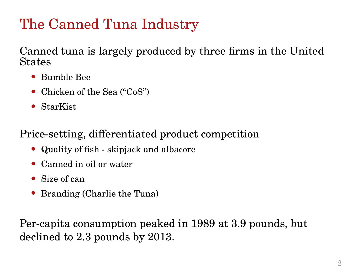# The Canned Tuna Industry

Canned tuna is largely produced by three firms in the United States

- Bumble Bee
- Chicken of the Sea ("CoS")
- StarKist

Price-setting, differentiated product competition

- Quality of fish skipjack and albacore
- Canned in oil or water
- Size of can
- Branding (Charlie the Tuna)

Per-capita consumption peaked in 1989 at 3.9 pounds, but declined to 2.3 pounds by 2013.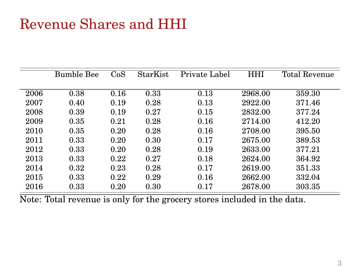## Revenue Shares and HHI

|      | <b>Bumble Bee</b> | CoS  | <b>StarKist</b> | Private Label | <b>HHI</b> | <b>Total Revenue</b> |
|------|-------------------|------|-----------------|---------------|------------|----------------------|
|      |                   |      |                 |               |            |                      |
| 2006 | 0.38              | 0.16 | 0.33            | 0.13          | 2968.00    | 359.30               |
| 2007 | 0.40              | 0.19 | 0.28            | 0.13          | 2922.00    | 371.46               |
| 2008 | 0.39              | 0.19 | 0.27            | 0.15          | 2832.00    | 377.24               |
| 2009 | 0.35              | 0.21 | 0.28            | 0.16          | 2714.00    | 412.20               |
| 2010 | 0.35              | 0.20 | 0.28            | 0.16          | 2708.00    | 395.50               |
| 2011 | 0.33              | 0.20 | 0.30            | 0.17          | 2675.00    | 389.53               |
| 2012 | 0.33              | 0.20 | 0.28            | 0.19          | 2633.00    | 377.21               |
| 2013 | 0.33              | 0.22 | 0.27            | 0.18          | 2624.00    | 364.92               |
| 2014 | 0.32              | 0.23 | 0.28            | 0.17          | 2619.00    | 351.33               |
| 2015 | 0.33              | 0.22 | 0.29            | 0.16          | 2662.00    | 332.04               |
| 2016 | 0.33              | 0.20 | 0.30            | 0.17          | 2678.00    | 303.35               |

Note: Total revenue is only for the grocery stores included in the data.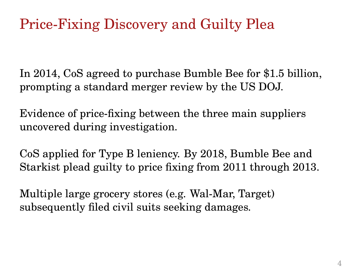# Price-Fixing Discovery and Guilty Plea

In 2014, CoS agreed to purchase Bumble Bee for \$1.5 billion, prompting a standard merger review by the US DOJ.

Evidence of price-fixing between the three main suppliers uncovered during investigation.

CoS applied for Type B leniency. By 2018, Bumble Bee and Starkist plead guilty to price fixing from 2011 through 2013.

Multiple large grocery stores (e.g. Wal-Mar, Target) subsequently filed civil suits seeking damages.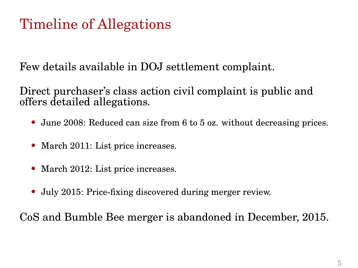# Timeline of Allegations

Few details available in DOJ settlement complaint.

Direct purchaser's class action civil complaint is public and offers detailed allegations.

- June 2008: Reduced can size from 6 to 5 oz. without decreasing prices.
- March 2011: List price increases.
- March 2012: List price increases.
- July 2015: Price-fixing discovered during merger review.

CoS and Bumble Bee merger is abandoned in December, 2015.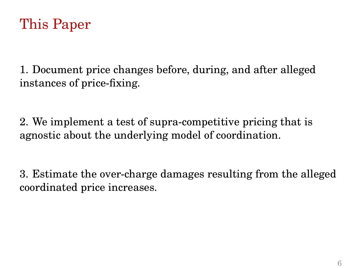

1. Document price changes before, during, and after alleged instances of price-fixing.

2. We implement a test of supra-competitive pricing that is agnostic about the underlying model of coordination.

3. Estimate the over-charge damages resulting from the alleged coordinated price increases.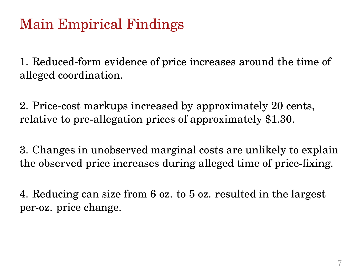# Main Empirical Findings

1. Reduced-form evidence of price increases around the time of alleged coordination.

2. Price-cost markups increased by approximately 20 cents, relative to pre-allegation prices of approximately \$1.30.

3. Changes in unobserved marginal costs are unlikely to explain the observed price increases during alleged time of price-fixing.

4. Reducing can size from 6 oz. to 5 oz. resulted in the largest per-oz. price change.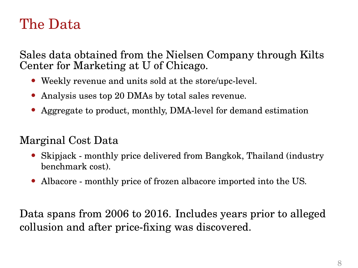#### The Data

Sales data obtained from the Nielsen Company through Kilts Center for Marketing at U of Chicago.

- Weekly revenue and units sold at the store/upc-level.
- Analysis uses top 20 DMAs by total sales revenue.
- Aggregate to product, monthly, DMA-level for demand estimation

#### Marginal Cost Data

- Skipjack monthly price delivered from Bangkok, Thailand (industry benchmark cost).
- Albacore monthly price of frozen albacore imported into the US.

Data spans from 2006 to 2016. Includes years prior to alleged collusion and after price-fixing was discovered.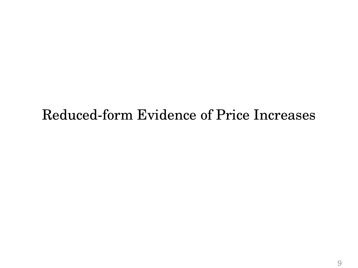#### Reduced-form Evidence of Price Increases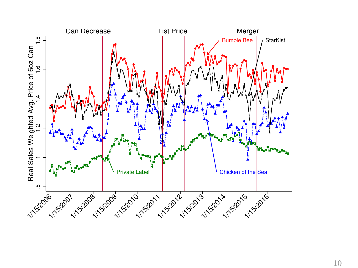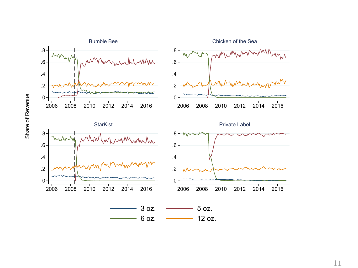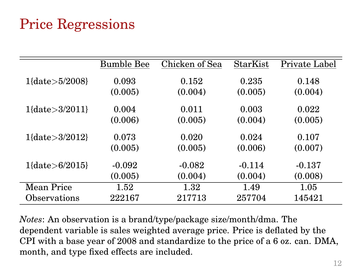# Price Regressions

|                        | <b>Bumble Bee</b> | Chicken of Sea | StarKist | Private Label |
|------------------------|-------------------|----------------|----------|---------------|
| $1\{date\geq5/2008\}$  | 0.093             | 0.152          | 0.235    | 0.148         |
|                        | (0.005)           | (0.004)        | (0.005)  | (0.004)       |
| $1\{date\geq3/2011\}$  | 0.004             | 0.011          | 0.003    | 0.022         |
|                        | (0.006)           | (0.005)        | (0.004)  | (0.005)       |
| $1\{date\geq3/2012\}$  | 0.073             | 0.020          | 0.024    | 0.107         |
|                        | (0.005)           | (0.005)        | (0.006)  | (0.007)       |
| $1\{date\geq 6/2015\}$ | $-0.092$          | $-0.082$       | $-0.114$ | $-0.137$      |
|                        | (0.005)           | (0.004)        | (0.004)  | (0.008)       |
| Mean Price             | 1.52              | 1.32           | 1.49     | 1.05          |
| Observations           | 222167            | 217713         | 257704   | 145421        |

*Notes*: An observation is a brand/type/package size/month/dma. The dependent variable is sales weighted average price. Price is deflated by the CPI with a base year of 2008 and standardize to the price of a 6 oz. can. DMA, month, and type fixed effects are included.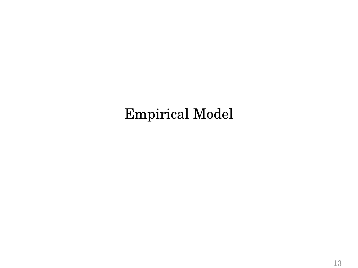# Empirical Model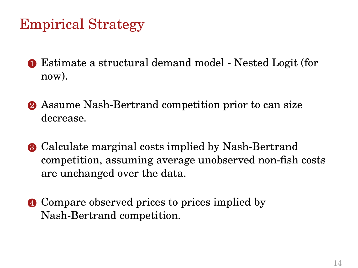# Empirical Strategy

- 1 Estimate a structural demand model Nested Logit (for now).
- **2** Assume Nash-Bertrand competition prior to can size decrease.
- **3** Calculate marginal costs implied by Nash-Bertrand competition, assuming average unobserved non-fish costs are unchanged over the data.
- 4 Compare observed prices to prices implied by Nash-Bertrand competition.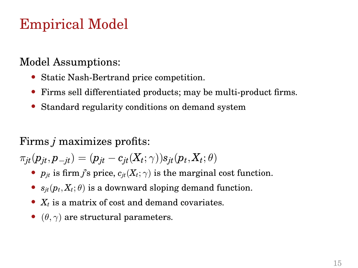# Empirical Model

#### Model Assumptions:

- Static Nash-Bertrand price competition.
- Firms sell differentiated products; may be multi-product firms.
- Standard regularity conditions on demand system

#### Firms *j* maximizes profits:

 $\pi_{jt}(p_{jt},p_{-jt})=(p_{jt}-c_{jt}(X_t;\gamma))s_{jt}(p_t,X_t;\theta)$ 

- $p_{it}$  is firm *j*'s price,  $c_{it}(X_t; \gamma)$  is the marginal cost function.
- $s_{it}(p_t, X_t; \theta)$  is a downward sloping demand function.
- *X<sup>t</sup>* is a matrix of cost and demand covariates.
- ( $\theta$ ,  $\gamma$ ) are structural parameters.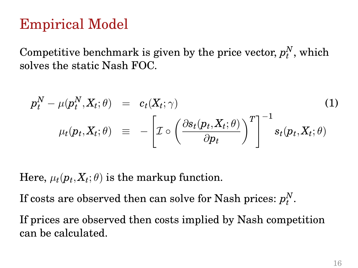### Empirical Model

Competitive benchmark is given by the price vector,  $p_t^N$ , which solves the static Nash FOC.

$$
p_t^N - \mu(p_t^N, X_t; \theta) = c_t(X_t; \gamma)
$$
\n
$$
\mu_t(p_t, X_t; \theta) = -\left[\mathcal{I} \circ \left(\frac{\partial s_t(p_t, X_t; \theta)}{\partial p_t}\right)^T\right]^{-1} s_t(p_t, X_t; \theta)
$$
\n(1)

Here,  $\mu_t(p_t, X_t; \theta)$  is the markup function.

If costs are observed then can solve for Nash prices:  $p_t^N$ .

If prices are observed then costs implied by Nash competition can be calculated.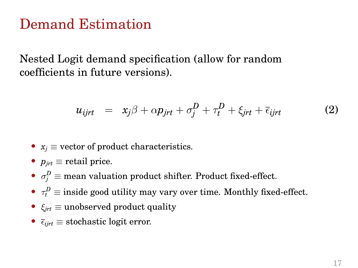#### Demand Estimation

Nested Logit demand specification (allow for random coefficients in future versions).

$$
u_{ijrt} = x_j \beta + \alpha p_{jrt} + \sigma_j^D + \tau_t^D + \xi_{jrt} + \overline{\epsilon}_{ijrt}
$$
 (2)

- $x_i \equiv$  vector of product characteristics.
- $p_{\text{int}} \equiv$  retail price.
- $\sigma_j^D \equiv$  mean valuation product shifter. Product fixed-effect.
- $\tau_t^D \equiv$  inside good utility may vary over time. Monthly fixed-effect.
- $\xi_{\text{int}} \equiv$  unobserved product quality
- $\overline{\epsilon}_{iirt} \equiv$  stochastic logit error.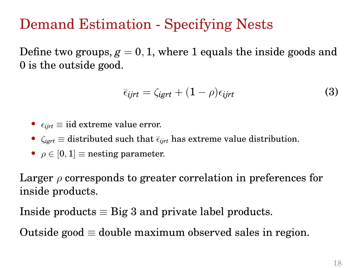# Demand Estimation - Specifying Nests

Define two groups,  $g = 0, 1$ , where 1 equals the inside goods and 0 is the outside good.

$$
\overline{\epsilon}_{ijrt} = \zeta_{igrt} + (1 - \rho)\epsilon_{ijrt}
$$
 (3)

- $\epsilon_{iirt} \equiv \text{iid extreme value error.}$
- $\zeta_{\text{igrt}} \equiv$  distributed such that  $\bar{\zeta}_{\text{ijrt}}$  has extreme value distribution.
- $\rho \in [0, 1]$  = nesting parameter.

Larger  $\rho$  corresponds to greater correlation in preferences for inside products.

Inside products  $\equiv$  Big 3 and private label products.

Outside good  $\equiv$  double maximum observed sales in region.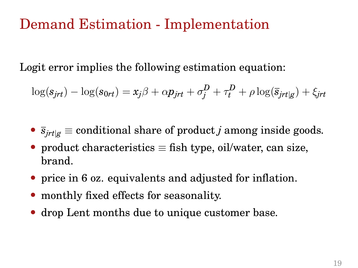#### Demand Estimation - Implementation

Logit error implies the following estimation equation:

$$
\log(s_{jrt}) - \log(s_{0rt}) = x_j \beta + \alpha p_{jrt} + \sigma_j^D + \tau_t^D + \rho \log(\overline{s}_{jrt|g}) + \xi_{jrt}
$$

- $\bar{s}_{\text{int}|g} \equiv$  conditional share of product *j* among inside goods.
- product characteristics  $\equiv$  fish type, oil/water, can size, brand.
- price in 6 oz. equivalents and adjusted for inflation.
- monthly fixed effects for seasonality.
- drop Lent months due to unique customer base.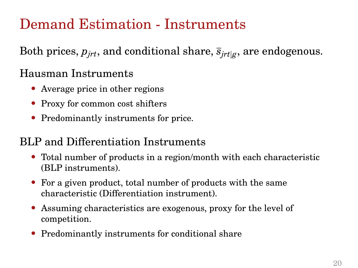# Demand Estimation - Instruments

Both prices,  $p_{jrt}$ , and conditional share,  $\bar{s}_{jrt|g}$ , are endogenous.

#### Hausman Instruments

- Average price in other regions
- Proxy for common cost shifters
- Predominantly instruments for price.

#### BLP and Differentiation Instruments

- Total number of products in a region/month with each characteristic (BLP instruments).
- For a given product, total number of products with the same characteristic (Differentiation instrument).
- Assuming characteristics are exogenous, proxy for the level of competition.
- Predominantly instruments for conditional share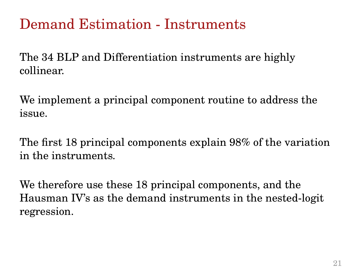### Demand Estimation - Instruments

The 34 BLP and Differentiation instruments are highly collinear.

We implement a principal component routine to address the issue.

The first 18 principal components explain 98% of the variation in the instruments.

We therefore use these 18 principal components, and the Hausman IV's as the demand instruments in the nested-logit regression.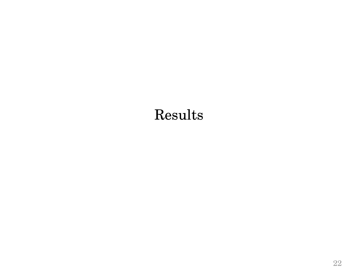# Results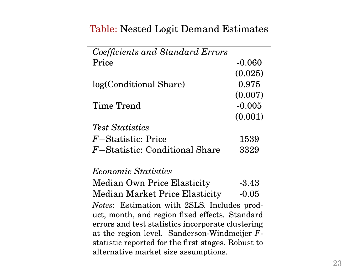#### Table: Nested Logit Demand Estimates

| Coefficients and Standard Errors                                                           |          |  |  |  |  |
|--------------------------------------------------------------------------------------------|----------|--|--|--|--|
| Price                                                                                      | $-0.060$ |  |  |  |  |
|                                                                                            | (0.025)  |  |  |  |  |
| log(Conditional Share)                                                                     | 0.975    |  |  |  |  |
|                                                                                            | (0.007)  |  |  |  |  |
| Time Trend                                                                                 | $-0.005$ |  |  |  |  |
|                                                                                            | (0.001)  |  |  |  |  |
| <i>Test Statistics</i>                                                                     |          |  |  |  |  |
| $F$ –Statistic: Price                                                                      | 1539     |  |  |  |  |
| F-Statistic: Conditional Share                                                             | 3329     |  |  |  |  |
|                                                                                            |          |  |  |  |  |
| <i>Economic Statistics</i>                                                                 |          |  |  |  |  |
| Median Own Price Elasticity                                                                | -3.43    |  |  |  |  |
| Median Market Price Elasticity                                                             | $-0.05$  |  |  |  |  |
| <i>Notes:</i> Estimation with 2SLS. Includes prod-                                         |          |  |  |  |  |
| uct, month, and region fixed effects. Standard                                             |          |  |  |  |  |
| errors and test statistics incorporate clustering                                          |          |  |  |  |  |
| at the region level. Sanderson-Windmeijer $F$ -                                            |          |  |  |  |  |
| statistic reported for the first stages. Robust to<br>alternative market size assumptions. |          |  |  |  |  |
|                                                                                            |          |  |  |  |  |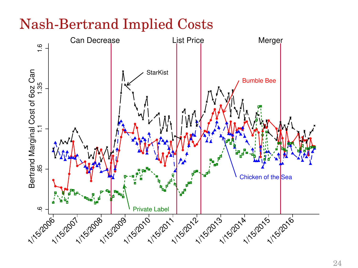# Nash-Bertrand Implied Costs

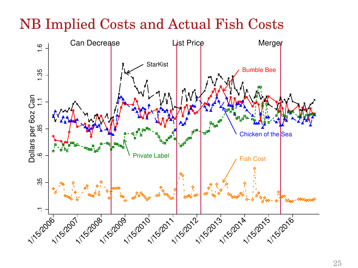# NB Implied Costs and Actual Fish Costs

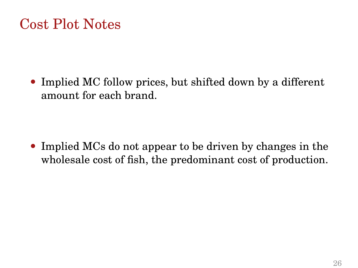#### Cost Plot Notes

• Implied MC follow prices, but shifted down by a different amount for each brand.

• Implied MCs do not appear to be driven by changes in the wholesale cost of fish, the predominant cost of production.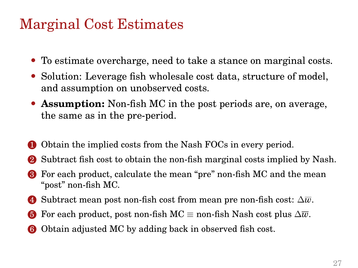#### Marginal Cost Estimates

- To estimate overcharge, need to take a stance on marginal costs.
- Solution: Leverage fish wholesale cost data, structure of model, and assumption on unobserved costs.
- **Assumption:** Non-fish MC in the post periods are, on average, the same as in the pre-period.
- 1 Obtain the implied costs from the Nash FOCs in every period.
- 2 Subtract fish cost to obtain the non-fish marginal costs implied by Nash.
- 3 For each product, calculate the mean "pre" non-fish MC and the mean "post" non-fish MC.
- 4 Subtract mean post non-fish cost from mean pre non-fish cost: ∆*w*.
- **6** For each product, post non-fish MC  $\equiv$  non-fish Nash cost plus  $\Delta \overline{w}$ .
- 6 Obtain adjusted MC by adding back in observed fish cost.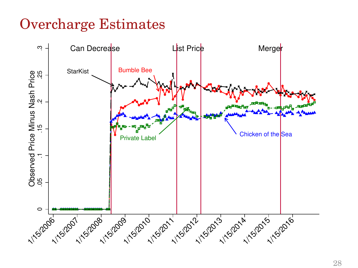# Overcharge Estimates

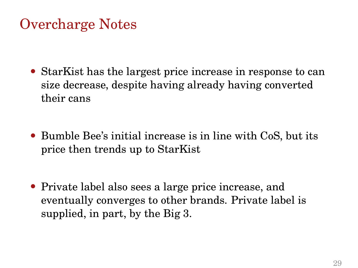### Overcharge Notes

- StarKist has the largest price increase in response to can size decrease, despite having already having converted their cans
- Bumble Bee's initial increase is in line with CoS, but its price then trends up to StarKist
- Private label also sees a large price increase, and eventually converges to other brands. Private label is supplied, in part, by the Big 3.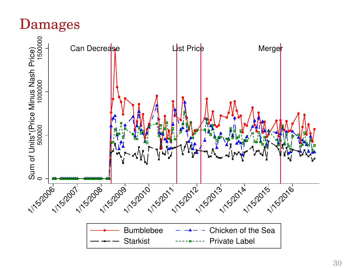### Damages

Can Decrease List Price Merger 0 500000 1000000 1500000 Sum of Units\*(Price Minus Nash Price) 1/15/2015 1/15/2016 1/15/2016 1/15/2017 1/15/2017 1/15/2015 1/15/2016 Bumblebee  $-\rightarrow -$  Chicken of the Sea Starkist -------- Private Label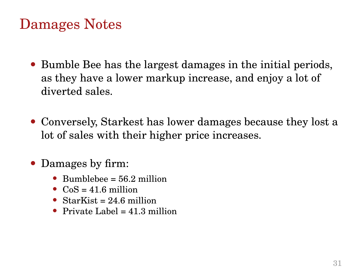### Damages Notes

- Bumble Bee has the largest damages in the initial periods, as they have a lower markup increase, and enjoy a lot of diverted sales.
- Conversely, Starkest has lower damages because they lost a lot of sales with their higher price increases.
- Damages by firm:
	- Bumblebee  $= 56.2$  million
	- $CoS = 41.6$  million
	- StarKist =  $24.6$  million
	- Private Label  $= 41.3$  million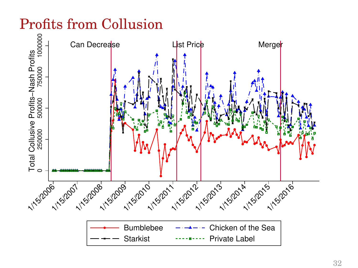# Profits from Collusion